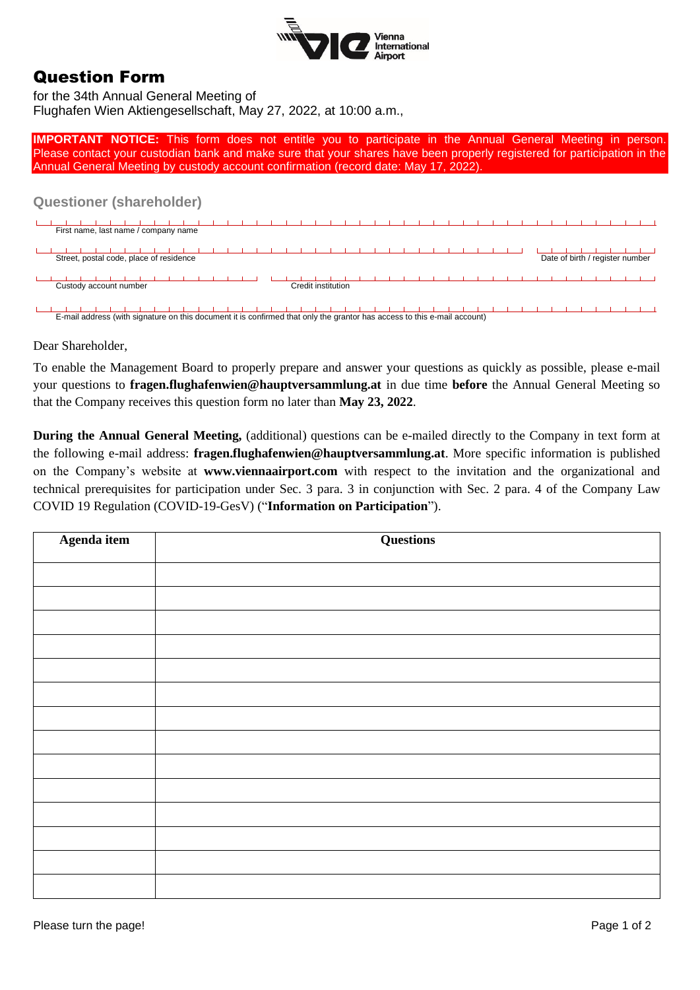

## Question Form

for the 34th Annual General Meeting of Flughafen Wien Aktiengesellschaft, May 27, 2022, at 10:00 a.m.,

**IMPORTANT NOTICE:** This form does not entitle you to participate in the Annual General Meeting in person. Please contact your custodian bank and make sure that your shares have been properly registered for participation in the Annual General Meeting by custody account confirmation (record date: May 17, 2022).

## **Questioner (shareholder)**

| First name, last name / company name    |                    |                                 |
|-----------------------------------------|--------------------|---------------------------------|
| Street, postal code, place of residence |                    | Date of birth / register number |
| Custody account number                  | Credit institution |                                 |

E-mail address (with signature on this document it is confirmed that only the grantor has access to this e-mail account)

Dear Shareholder,

To enable the Management Board to properly prepare and answer your questions as quickly as possible, please e-mail your questions to **fragen.flughafenwien@hauptversammlung.at** in due time **before** the Annual General Meeting so that the Company receives this question form no later than **May 23, 2022**.

**During the Annual General Meeting,** (additional) questions can be e-mailed directly to the Company in text form at the following e-mail address: **fragen.flughafenwien@hauptversammlung.at**. More specific information is published on the Company's website at **www.viennaairport.com** with respect to the invitation and the organizational and technical prerequisites for participation under Sec. 3 para. 3 in conjunction with Sec. 2 para. 4 of the Company Law COVID 19 Regulation (COVID-19-GesV) ("**Information on Participation**").

| Agenda item | <b>Questions</b> |
|-------------|------------------|
|             |                  |
|             |                  |
|             |                  |
|             |                  |
|             |                  |
|             |                  |
|             |                  |
|             |                  |
|             |                  |
|             |                  |
|             |                  |
|             |                  |
|             |                  |
|             |                  |